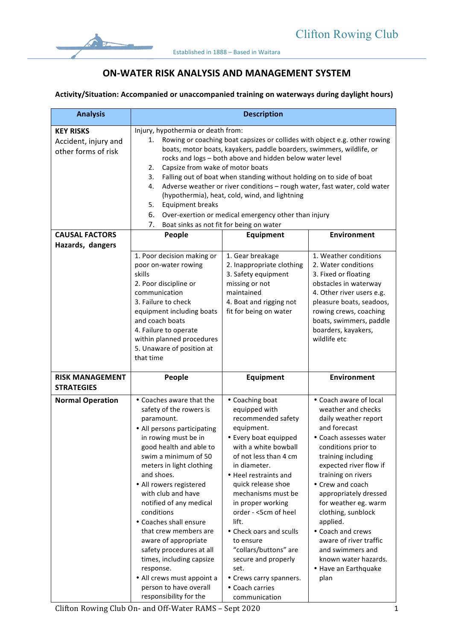

## **ON-WATER RISK ANALYSIS AND MANAGEMENT SYSTEM**

## Activity/Situation: Accompanied or unaccompanied training on waterways during daylight hours)

| <b>Analysis</b>                                                 | <b>Description</b>                                                                                                                                                                                                                                                                                                                                                                                                                                                                                                                                                                                                                                                        |                                                                                                                                                                                                                                                                                                                                                                                                                                                          |                                                                                                                                                                                                                                                                                                                                                                                                                                               |
|-----------------------------------------------------------------|---------------------------------------------------------------------------------------------------------------------------------------------------------------------------------------------------------------------------------------------------------------------------------------------------------------------------------------------------------------------------------------------------------------------------------------------------------------------------------------------------------------------------------------------------------------------------------------------------------------------------------------------------------------------------|----------------------------------------------------------------------------------------------------------------------------------------------------------------------------------------------------------------------------------------------------------------------------------------------------------------------------------------------------------------------------------------------------------------------------------------------------------|-----------------------------------------------------------------------------------------------------------------------------------------------------------------------------------------------------------------------------------------------------------------------------------------------------------------------------------------------------------------------------------------------------------------------------------------------|
| <b>KEY RISKS</b><br>Accident, injury and<br>other forms of risk | Injury, hypothermia or death from:<br>Rowing or coaching boat capsizes or collides with object e.g. other rowing<br>1.<br>boats, motor boats, kayakers, paddle boarders, swimmers, wildlife, or<br>rocks and logs - both above and hidden below water level<br>Capsize from wake of motor boats<br>2.<br>Falling out of boat when standing without holding on to side of boat<br>3.<br>Adverse weather or river conditions - rough water, fast water, cold water<br>4.<br>(hypothermia), heat, cold, wind, and lightning<br><b>Equipment breaks</b><br>5.<br>6.<br>Over-exertion or medical emergency other than injury<br>7.<br>Boat sinks as not fit for being on water |                                                                                                                                                                                                                                                                                                                                                                                                                                                          |                                                                                                                                                                                                                                                                                                                                                                                                                                               |
| <b>CAUSAL FACTORS</b>                                           | <b>Environment</b><br>People<br>Equipment                                                                                                                                                                                                                                                                                                                                                                                                                                                                                                                                                                                                                                 |                                                                                                                                                                                                                                                                                                                                                                                                                                                          |                                                                                                                                                                                                                                                                                                                                                                                                                                               |
| Hazards, dangers                                                |                                                                                                                                                                                                                                                                                                                                                                                                                                                                                                                                                                                                                                                                           |                                                                                                                                                                                                                                                                                                                                                                                                                                                          |                                                                                                                                                                                                                                                                                                                                                                                                                                               |
|                                                                 | 1. Poor decision making or<br>poor on-water rowing<br>skills<br>2. Poor discipline or<br>communication<br>3. Failure to check<br>equipment including boats<br>and coach boats<br>4. Failure to operate<br>within planned procedures<br>5. Unaware of position at<br>that time                                                                                                                                                                                                                                                                                                                                                                                             | 1. Gear breakage<br>2. Inappropriate clothing<br>3. Safety equipment<br>missing or not<br>maintained<br>4. Boat and rigging not<br>fit for being on water                                                                                                                                                                                                                                                                                                | 1. Weather conditions<br>2. Water conditions<br>3. Fixed or floating<br>obstacles in waterway<br>4. Other river users e.g.<br>pleasure boats, seadoos,<br>rowing crews, coaching<br>boats, swimmers, paddle<br>boarders, kayakers,<br>wildlife etc                                                                                                                                                                                            |
| <b>RISK MANAGEMENT</b><br><b>STRATEGIES</b>                     | People                                                                                                                                                                                                                                                                                                                                                                                                                                                                                                                                                                                                                                                                    | Equipment                                                                                                                                                                                                                                                                                                                                                                                                                                                | <b>Environment</b>                                                                                                                                                                                                                                                                                                                                                                                                                            |
| <b>Normal Operation</b>                                         | • Coaches aware that the<br>safety of the rowers is<br>paramount.<br>• All persons participating<br>in rowing must be in<br>good health and able to<br>swim a minimum of 50<br>meters in light clothing<br>and shoes.<br>• All rowers registered<br>with club and have<br>notified of any medical<br>conditions<br>• Coaches shall ensure<br>that crew members are<br>aware of appropriate<br>safety procedures at all<br>times, including capsize<br>response.<br>• All crews must appoint a<br>person to have overall<br>responsibility for the                                                                                                                         | • Coaching boat<br>equipped with<br>recommended safety<br>equipment.<br>• Every boat equipped<br>with a white bowball<br>of not less than 4 cm<br>in diameter.<br>• Heel restraints and<br>quick release shoe<br>mechanisms must be<br>in proper working<br>order - <5cm of heel<br>lift.<br>• Check oars and sculls<br>to ensure<br>"collars/buttons" are<br>secure and properly<br>set.<br>• Crews carry spanners.<br>• Coach carries<br>communication | • Coach aware of local<br>weather and checks<br>daily weather report<br>and forecast<br>• Coach assesses water<br>conditions prior to<br>training including<br>expected river flow if<br>training on rivers<br>• Crew and coach<br>appropriately dressed<br>for weather eg. warm<br>clothing, sunblock<br>applied.<br>• Coach and crews<br>aware of river traffic<br>and swimmers and<br>known water hazards.<br>• Have an Earthquake<br>plan |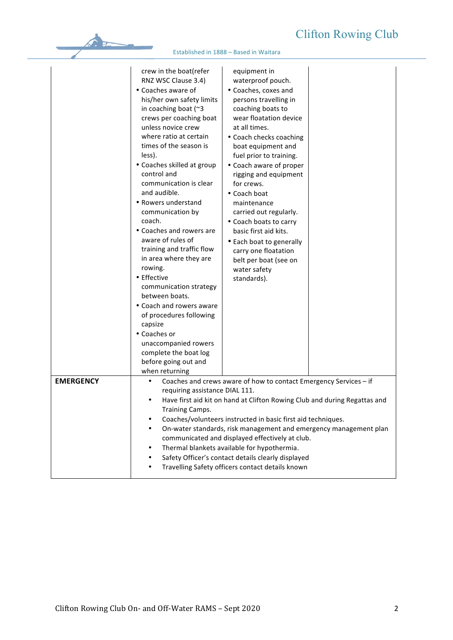## Club

|                  |                                                                                                                                                                                                                                                                                                                                                                                                                                                                                                                                                                                                                                                                                                                                                |                                                                                                                                                                                                                                                                                                                                                                                                                                                                                                                          | <b>Clifton Rowing Clu</b> |
|------------------|------------------------------------------------------------------------------------------------------------------------------------------------------------------------------------------------------------------------------------------------------------------------------------------------------------------------------------------------------------------------------------------------------------------------------------------------------------------------------------------------------------------------------------------------------------------------------------------------------------------------------------------------------------------------------------------------------------------------------------------------|--------------------------------------------------------------------------------------------------------------------------------------------------------------------------------------------------------------------------------------------------------------------------------------------------------------------------------------------------------------------------------------------------------------------------------------------------------------------------------------------------------------------------|---------------------------|
|                  |                                                                                                                                                                                                                                                                                                                                                                                                                                                                                                                                                                                                                                                                                                                                                | Established in 1888 - Based in Waitara                                                                                                                                                                                                                                                                                                                                                                                                                                                                                   |                           |
|                  | crew in the boat(refer<br>RNZ WSC Clause 3.4)<br>• Coaches aware of<br>his/her own safety limits<br>in coaching boat (~3<br>crews per coaching boat<br>unless novice crew<br>where ratio at certain<br>times of the season is<br>less).<br>• Coaches skilled at group<br>control and<br>communication is clear<br>and audible.<br>• Rowers understand<br>communication by<br>coach.<br>• Coaches and rowers are<br>aware of rules of<br>training and traffic flow<br>in area where they are<br>rowing.<br>• Effective<br>communication strategy<br>between boats.<br>• Coach and rowers aware<br>of procedures following<br>capsize<br>• Coaches or<br>unaccompanied rowers<br>complete the boat log<br>before going out and<br>when returning | equipment in<br>waterproof pouch.<br>• Coaches, coxes and<br>persons travelling in<br>coaching boats to<br>wear floatation device<br>at all times.<br>• Coach checks coaching<br>boat equipment and<br>fuel prior to training.<br>• Coach aware of proper<br>rigging and equipment<br>for crews.<br>• Coach boat<br>maintenance<br>carried out regularly.<br>• Coach boats to carry<br>basic first aid kits.<br>• Each boat to generally<br>carry one floatation<br>belt per boat (see on<br>water safety<br>standards). |                           |
| <b>EMERGENCY</b> | Coaches and crews aware of how to contact Emergency Services - if<br>$\bullet$<br>requiring assistance DIAL 111.<br>Have first aid kit on hand at Clifton Rowing Club and during Regattas and<br>$\bullet$<br>Training Camps.                                                                                                                                                                                                                                                                                                                                                                                                                                                                                                                  |                                                                                                                                                                                                                                                                                                                                                                                                                                                                                                                          |                           |
|                  | ٠<br>$\bullet$                                                                                                                                                                                                                                                                                                                                                                                                                                                                                                                                                                                                                                                                                                                                 | Coaches/volunteers instructed in basic first aid techniques.<br>On-water standards, risk management and emergency management plan<br>communicated and displayed effectively at club.<br>Thermal blankets available for hypothermia.<br>Safety Officer's contact details clearly displayed<br>Travelling Safety officers contact details known                                                                                                                                                                            |                           |

Travelling Safety officers contact details known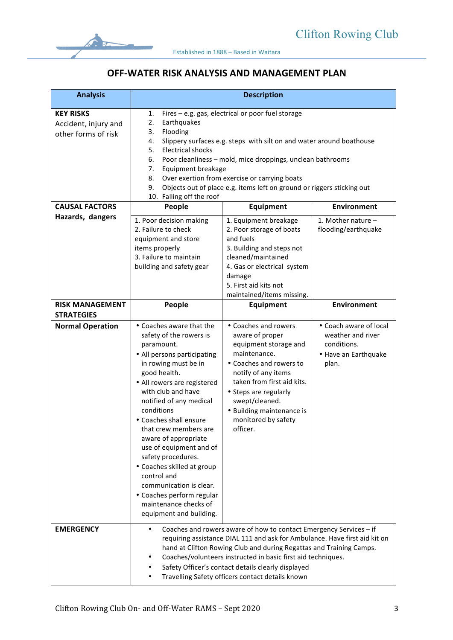

## **OFF-WATER RISK ANALYSIS AND MANAGEMENT PLAN**

| <b>Analysis</b>                                                 |                                                                                                                                                                                                                                                                                                                                                                                                                                                                                                                             | <b>Description</b>                                                                                                                                                                                                                                                          |                                                                                             |
|-----------------------------------------------------------------|-----------------------------------------------------------------------------------------------------------------------------------------------------------------------------------------------------------------------------------------------------------------------------------------------------------------------------------------------------------------------------------------------------------------------------------------------------------------------------------------------------------------------------|-----------------------------------------------------------------------------------------------------------------------------------------------------------------------------------------------------------------------------------------------------------------------------|---------------------------------------------------------------------------------------------|
| <b>KEY RISKS</b><br>Accident, injury and<br>other forms of risk | Fires - e.g. gas, electrical or poor fuel storage<br>1.<br>2.<br>Earthquakes<br>Flooding<br>3.<br>4.<br>Slippery surfaces e.g. steps with silt on and water around boathouse<br>5.<br><b>Electrical shocks</b><br>6.<br>Poor cleanliness - mold, mice droppings, unclean bathrooms<br>7.<br>Equipment breakage<br>Over exertion from exercise or carrying boats<br>8.<br>9.<br>Objects out of place e.g. items left on ground or riggers sticking out<br>10. Falling off the roof                                           |                                                                                                                                                                                                                                                                             |                                                                                             |
| <b>CAUSAL FACTORS</b>                                           | People                                                                                                                                                                                                                                                                                                                                                                                                                                                                                                                      | Equipment                                                                                                                                                                                                                                                                   | Environment                                                                                 |
| Hazards, dangers                                                | 1. Poor decision making<br>2. Failure to check<br>equipment and store<br>items properly<br>3. Failure to maintain<br>building and safety gear                                                                                                                                                                                                                                                                                                                                                                               | 1. Equipment breakage<br>2. Poor storage of boats<br>and fuels<br>3. Building and steps not<br>cleaned/maintained<br>4. Gas or electrical system<br>damage<br>5. First aid kits not<br>maintained/items missing.                                                            | 1. Mother nature $-$<br>flooding/earthquake                                                 |
| <b>RISK MANAGEMENT</b><br><b>STRATEGIES</b>                     | People                                                                                                                                                                                                                                                                                                                                                                                                                                                                                                                      | Equipment                                                                                                                                                                                                                                                                   | <b>Environment</b>                                                                          |
| <b>Normal Operation</b>                                         | • Coaches aware that the<br>safety of the rowers is<br>paramount.<br>• All persons participating<br>in rowing must be in<br>good health.<br>• All rowers are registered<br>with club and have<br>notified of any medical<br>conditions<br>• Coaches shall ensure<br>that crew members are<br>aware of appropriate<br>use of equipment and of<br>safety procedures.<br>• Coaches skilled at group<br>control and<br>communication is clear.<br>• Coaches perform regular<br>maintenance checks of<br>equipment and building. | • Coaches and rowers<br>aware of proper<br>equipment storage and<br>maintenance.<br>• Coaches and rowers to<br>notify of any items<br>taken from first aid kits.<br>• Steps are regularly<br>swept/cleaned.<br>• Building maintenance is<br>monitored by safety<br>officer. | • Coach aware of local<br>weather and river<br>conditions.<br>• Have an Earthquake<br>plan. |
| <b>EMERGENCY</b>                                                | Coaches and rowers aware of how to contact Emergency Services - if<br>$\bullet$<br>requiring assistance DIAL 111 and ask for Ambulance. Have first aid kit on<br>hand at Clifton Rowing Club and during Regattas and Training Camps.<br>Coaches/volunteers instructed in basic first aid techniques.<br>Safety Officer's contact details clearly displayed<br>Travelling Safety officers contact details known                                                                                                              |                                                                                                                                                                                                                                                                             |                                                                                             |